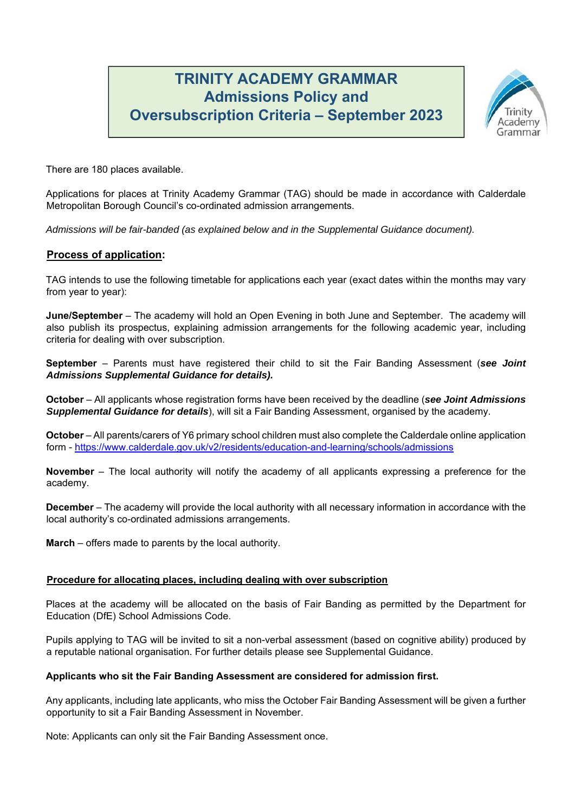# **TRINITY ACADEMY GRAMMAR Admissions Policy and Oversubscription Criteria – September 2023**



There are 180 places available.

Applications for places at Trinity Academy Grammar (TAG) should be made in accordance with Calderdale Metropolitan Borough Council's co-ordinated admission arrangements.

*Admissions will be fair-banded (as explained below and in the Supplemental Guidance document).* 

# **Process of application:**

TAG intends to use the following timetable for applications each year (exact dates within the months may vary from year to year):

**June/September** – The academy will hold an Open Evening in both June and September. The academy will also publish its prospectus, explaining admission arrangements for the following academic year, including criteria for dealing with over subscription.

**September** – Parents must have registered their child to sit the Fair Banding Assessment (*see Joint Admissions Supplemental Guidance for details).* 

**October** – All applicants whose registration forms have been received by the deadline (*see Joint Admissions Supplemental Guidance for details*), will sit a Fair Banding Assessment, organised by the academy.

**October** – All parents/carers of Y6 primary school children must also complete the Calderdale online application form - https://www.calderdale.gov.uk/v2/residents/education-and-learning/schools/admissions

**November** – The local authority will notify the academy of all applicants expressing a preference for the academy.

**December** – The academy will provide the local authority with all necessary information in accordance with the local authority's co-ordinated admissions arrangements.

**March** – offers made to parents by the local authority.

# **Procedure for allocating places, including dealing with over subscription**

Places at the academy will be allocated on the basis of Fair Banding as permitted by the Department for Education (DfE) School Admissions Code.

Pupils applying to TAG will be invited to sit a non-verbal assessment (based on cognitive ability) produced by a reputable national organisation. For further details please see Supplemental Guidance.

### **Applicants who sit the Fair Banding Assessment are considered for admission first.**

Any applicants, including late applicants, who miss the October Fair Banding Assessment will be given a further opportunity to sit a Fair Banding Assessment in November.

Note: Applicants can only sit the Fair Banding Assessment once.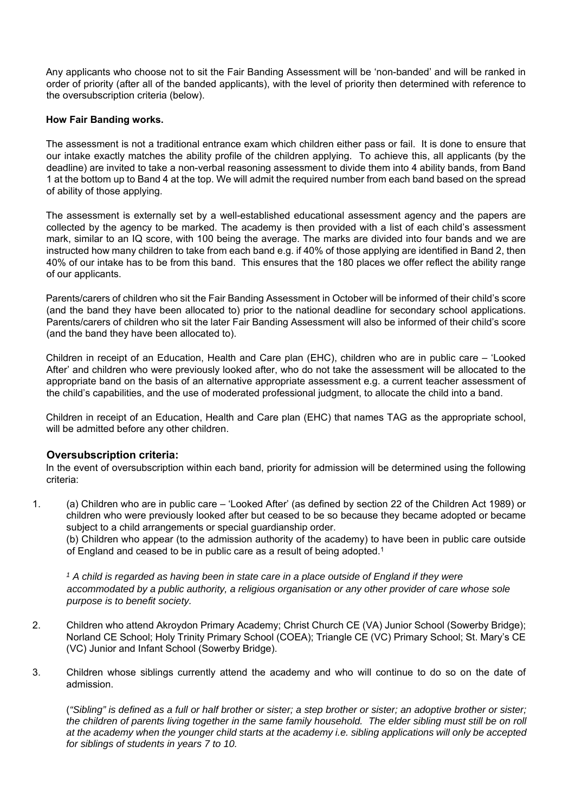Any applicants who choose not to sit the Fair Banding Assessment will be 'non-banded' and will be ranked in order of priority (after all of the banded applicants), with the level of priority then determined with reference to the oversubscription criteria (below).

# **How Fair Banding works.**

The assessment is not a traditional entrance exam which children either pass or fail. It is done to ensure that our intake exactly matches the ability profile of the children applying. To achieve this, all applicants (by the deadline) are invited to take a non-verbal reasoning assessment to divide them into 4 ability bands, from Band 1 at the bottom up to Band 4 at the top. We will admit the required number from each band based on the spread of ability of those applying.

The assessment is externally set by a well-established educational assessment agency and the papers are collected by the agency to be marked. The academy is then provided with a list of each child's assessment mark, similar to an IQ score, with 100 being the average. The marks are divided into four bands and we are instructed how many children to take from each band e.g. if 40% of those applying are identified in Band 2, then 40% of our intake has to be from this band. This ensures that the 180 places we offer reflect the ability range of our applicants.

Parents/carers of children who sit the Fair Banding Assessment in October will be informed of their child's score (and the band they have been allocated to) prior to the national deadline for secondary school applications. Parents/carers of children who sit the later Fair Banding Assessment will also be informed of their child's score (and the band they have been allocated to).

Children in receipt of an Education, Health and Care plan (EHC), children who are in public care – 'Looked After' and children who were previously looked after, who do not take the assessment will be allocated to the appropriate band on the basis of an alternative appropriate assessment e.g. a current teacher assessment of the child's capabilities, and the use of moderated professional judgment, to allocate the child into a band.

Children in receipt of an Education, Health and Care plan (EHC) that names TAG as the appropriate school, will be admitted before any other children.

# **Oversubscription criteria:**

In the event of oversubscription within each band, priority for admission will be determined using the following criteria:

1. (a) Children who are in public care – 'Looked After' (as defined by section 22 of the Children Act 1989) or children who were previously looked after but ceased to be so because they became adopted or became subject to a child arrangements or special guardianship order.

(b) Children who appear (to the admission authority of the academy) to have been in public care outside of England and ceased to be in public care as a result of being adopted.<sup>1</sup>

*1 A child is regarded as having been in state care in a place outside of England if they were accommodated by a public authority, a religious organisation or any other provider of care whose sole purpose is to benefit society.* 

- 2. Children who attend Akroydon Primary Academy; Christ Church CE (VA) Junior School (Sowerby Bridge); Norland CE School; Holy Trinity Primary School (COEA); Triangle CE (VC) Primary School; St. Mary's CE (VC) Junior and Infant School (Sowerby Bridge).
- 3. Children whose siblings currently attend the academy and who will continue to do so on the date of admission.

(*"Sibling" is defined as a full or half brother or sister; a step brother or sister; an adoptive brother or sister;*  the children of parents living together in the same family household. The elder sibling must still be on roll *at the academy when the younger child starts at the academy i.e. sibling applications will only be accepted for siblings of students in years 7 to 10.*